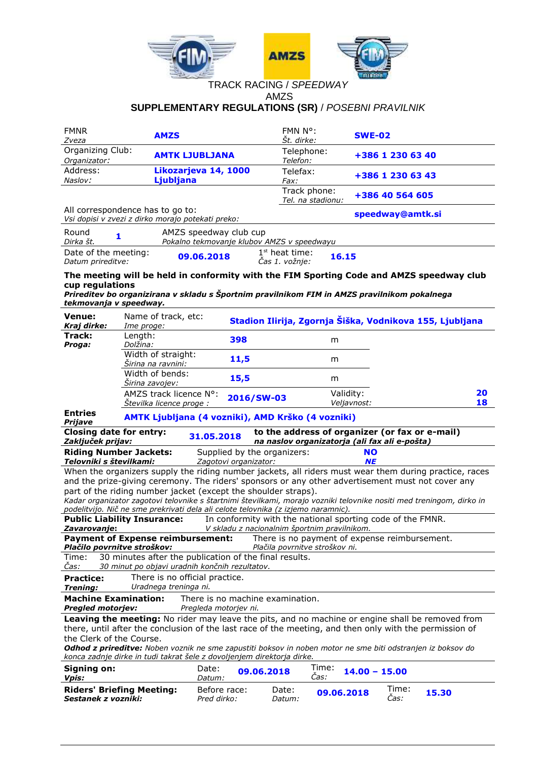

# TRACK RACING / *SPEEDWAY* AMZS **SUPPLEMENTARY REGULATIONS (SR)** / *POSEBNI PRAVILNIK*

| <b>FMNR</b><br>Zveza                                    | <b>AMZS</b>                                                                           |                                                                                   | FMN N°:<br>Št. dirke:                                 | <b>SWE-02</b>                                                                                                                                                                            |
|---------------------------------------------------------|---------------------------------------------------------------------------------------|-----------------------------------------------------------------------------------|-------------------------------------------------------|------------------------------------------------------------------------------------------------------------------------------------------------------------------------------------------|
| Organizing Club:<br>Organizator:                        |                                                                                       | <b>AMTK LJUBLJANA</b>                                                             | Telephone:<br>Telefon:                                | +386 1 230 63 40                                                                                                                                                                         |
| Address:                                                |                                                                                       | Likozarjeva 14, 1000                                                              | Telefax:                                              | +386 1 230 63 43                                                                                                                                                                         |
| Naslov:                                                 | Ljubljana                                                                             |                                                                                   | <i>Fax:</i><br>Track phone:<br>Tel. na stadionu:      | +386 40 564 605                                                                                                                                                                          |
|                                                         | All correspondence has to go to:<br>Vsi dopisi v zvezi z dirko morajo potekati preko: |                                                                                   |                                                       | speedway@amtk.si                                                                                                                                                                         |
| Round<br>1<br>Dirka št.                                 |                                                                                       | AMZS speedway club cup<br>Pokalno tekmovanje klubov AMZS v speedwayu              |                                                       |                                                                                                                                                                                          |
| Date of the meeting:<br>Datum prireditve:               |                                                                                       | 09.06.2018                                                                        | 1 <sup>st</sup> heat time:<br>16.15<br>Čas 1. vožnje: |                                                                                                                                                                                          |
| cup regulations<br>tekmovanja v speedway.               |                                                                                       |                                                                                   |                                                       | The meeting will be held in conformity with the FIM Sporting Code and AMZS speedway club<br>Prireditev bo organizirana v skladu s Športnim pravilnikom FIM in AMZS pravilnikom pokalnega |
| Venue:<br>Kraj dirke:                                   | Name of track, etc:<br>Ime proge:                                                     |                                                                                   |                                                       | Stadion Ilirija, Zgornja Šiška, Vodnikova 155, Ljubljana                                                                                                                                 |
| Track:<br>Proga:                                        | Length:<br>Dolžina:                                                                   | 398                                                                               | m                                                     |                                                                                                                                                                                          |
|                                                         | Width of straight:<br>Širina na ravnini:                                              | 11,5                                                                              | m                                                     |                                                                                                                                                                                          |
|                                                         | Width of bends:<br>Sirina zavojev:                                                    | 15,5                                                                              | m                                                     |                                                                                                                                                                                          |
|                                                         | AMZS track licence N°:                                                                | 2016/SW-03                                                                        |                                                       | Validity:<br>20                                                                                                                                                                          |
|                                                         | Stevilka licence proge:                                                               |                                                                                   |                                                       | Veljavnost:<br>18                                                                                                                                                                        |
| <b>Entries</b>                                          |                                                                                       |                                                                                   |                                                       |                                                                                                                                                                                          |
| Prijave                                                 |                                                                                       | AMTK Ljubljana (4 vozniki), AMD Krško (4 vozniki)                                 |                                                       |                                                                                                                                                                                          |
| <b>Closing date for entry:</b><br>Zaključek prijav:     |                                                                                       | 31.05.2018                                                                        |                                                       | to the address of organizer (or fax or e-mail)<br>na naslov organizatorja (ali fax ali e-pošta)                                                                                          |
| <b>Riding Number Jackets:</b>                           |                                                                                       | Supplied by the organizers:                                                       |                                                       | <b>NO</b>                                                                                                                                                                                |
| Telovniki s številkami:                                 |                                                                                       | Zagotovi organizator:                                                             |                                                       | <b>NE</b><br>When the organizers supply the riding number jackets, all riders must wear them during practice, races                                                                      |
|                                                         |                                                                                       |                                                                                   |                                                       | and the prize-giving ceremony. The riders' sponsors or any other advertisement must not cover any                                                                                        |
|                                                         |                                                                                       | part of the riding number jacket (except the shoulder straps).                    |                                                       |                                                                                                                                                                                          |
|                                                         |                                                                                       | podelitvijo. Nič ne sme prekrivati dela ali celote telovnika (z izjemo naramnic). |                                                       | Kadar organizator zagotovi telovnike s štartnimi številkami, morajo vozniki telovnike nositi med treningom, dirko in                                                                     |
|                                                         | <b>Public Liability Insurance:</b>                                                    |                                                                                   |                                                       | In conformity with the national sporting code of the FMNR.                                                                                                                               |
| <u>Zavarovanje:</u>                                     | <b>Payment of Expense reimbursement:</b>                                              |                                                                                   | V skladu z nacionalnim športnim pravilnikom.          | There is no payment of expense reimbursement.                                                                                                                                            |
| Plačilo povrnitve stroškov:                             |                                                                                       |                                                                                   | Plačila povrnitve stroškov ni.                        |                                                                                                                                                                                          |
| Time:                                                   |                                                                                       | 30 minutes after the publication of the final results.                            |                                                       |                                                                                                                                                                                          |
| Cas:                                                    |                                                                                       | 30 minut po objavi uradnih končnih rezultatov.                                    |                                                       |                                                                                                                                                                                          |
| <b>Practice:</b><br><b>Trening:</b>                     | There is no official practice.<br>Uradnega treninga ni.                               |                                                                                   |                                                       |                                                                                                                                                                                          |
| <b>Machine Examination:</b><br><b>Pregled motorjev:</b> |                                                                                       | There is no machine examination.<br>Pregleda motorjev ni.                         |                                                       |                                                                                                                                                                                          |
|                                                         |                                                                                       |                                                                                   |                                                       | Leaving the meeting: No rider may leave the pits, and no machine or engine shall be removed from                                                                                         |
|                                                         |                                                                                       |                                                                                   |                                                       | there, until after the conclusion of the last race of the meeting, and then only with the permission of                                                                                  |
| the Clerk of the Course.                                |                                                                                       |                                                                                   |                                                       |                                                                                                                                                                                          |
|                                                         |                                                                                       | konca zadnje dirke in tudi takrat šele z dovoljenjem direktorja dirke.            |                                                       | Odhod z prireditve: Noben voznik ne sme zapustiti boksov in noben motor ne sme biti odstranjen iz boksov do                                                                              |
| Signing on:<br>Vpis:                                    |                                                                                       | Date:<br>09.06.2018<br>Datum:                                                     | Time:<br>Cas:                                         | $14.00 - 15.00$                                                                                                                                                                          |